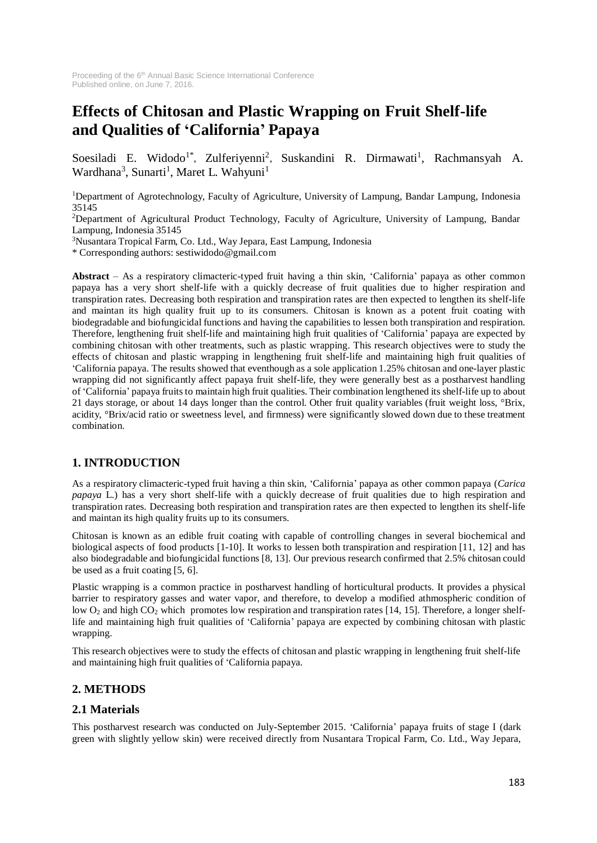# **Effects of Chitosan and Plastic Wrapping on Fruit Shelf-life and Qualities of 'California' Papaya**

Soesiladi E. Widodo<sup>1\*</sup>, Zulferiyenni<sup>2</sup>, Suskandini R. Dirmawati<sup>1</sup>, Rachmansyah A. Wardhana<sup>3</sup>, Sunarti<sup>1</sup>, Maret L. Wahyuni<sup>1</sup>

<sup>1</sup>Department of Agrotechnology, Faculty of Agriculture, University of Lampung, Bandar Lampung, Indonesia 35145

<sup>2</sup>Department of Agricultural Product Technology, Faculty of Agriculture, University of Lampung, Bandar Lampung, Indonesia 35145

<sup>3</sup>Nusantara Tropical Farm, Co. Ltd., Way Jepara, East Lampung, Indonesia

\* Corresponding authors: [sestiwidodo@gmail.com](mailto:sestiwidodo@gmail.com)

**Abstract** – As a respiratory climacteric-typed fruit having a thin skin, 'California' papaya as other common papaya has a very short shelf-life with a quickly decrease of fruit qualities due to higher respiration and transpiration rates. Decreasing both respiration and transpiration rates are then expected to lengthen its shelf-life and maintan its high quality fruit up to its consumers. Chitosan is known as a potent fruit coating with biodegradable and biofungicidal functions and having the capabilities to lessen both transpiration and respiration. Therefore, lengthening fruit shelf-life and maintaining high fruit qualities of 'California' papaya are expected by combining chitosan with other treatments, such as plastic wrapping. This research objectives were to study the effects of chitosan and plastic wrapping in lengthening fruit shelf-life and maintaining high fruit qualities of 'California papaya. The results showed that eventhough as a sole application 1.25% chitosan and one-layer plastic wrapping did not significantly affect papaya fruit shelf-life, they were generally best as a postharvest handling of 'California' papaya fruits to maintain high fruit qualities. Their combination lengthened its shelf-life up to about 21 days storage, or about 14 days longer than the control. Other fruit quality variables (fruit weight loss, °Brix, acidity, °Brix/acid ratio or sweetness level, and firmness) were significantly slowed down due to these treatment combination.

### **1. INTRODUCTION**

As a respiratory climacteric-typed fruit having a thin skin, 'California' papaya as other common papaya (*Carica papaya* L.) has a very short shelf-life with a quickly decrease of fruit qualities due to high respiration and transpiration rates. Decreasing both respiration and transpiration rates are then expected to lengthen its shelf-life and maintan its high quality fruits up to its consumers.

Chitosan is known as an edible fruit coating with capable of controlling changes in several biochemical and biological aspects of food products [1-10]. It works to lessen both transpiration and respiration [11, 12] and has also biodegradable and biofungicidal functions [8, 13]. Our previous research confirmed that 2.5% chitosan could be used as a fruit coating [5, 6].

Plastic wrapping is a common practice in postharvest handling of horticultural products. It provides a physical barrier to respiratory gasses and water vapor, and therefore, to develop a modified athmospheric condition of low O<sub>2</sub> and high CO<sub>2</sub> which promotes low respiration and transpiration rates [14, 15]. Therefore, a longer shelflife and maintaining high fruit qualities of 'California' papaya are expected by combining chitosan with plastic wrapping.

This research objectives were to study the effects of chitosan and plastic wrapping in lengthening fruit shelf-life and maintaining high fruit qualities of 'California papaya.

### **2. METHODS**

### **2.1 Materials**

This postharvest research was conducted on July-September 2015. 'California' papaya fruits of stage I (dark green with slightly yellow skin) were received directly from Nusantara Tropical Farm, Co. Ltd., Way Jepara,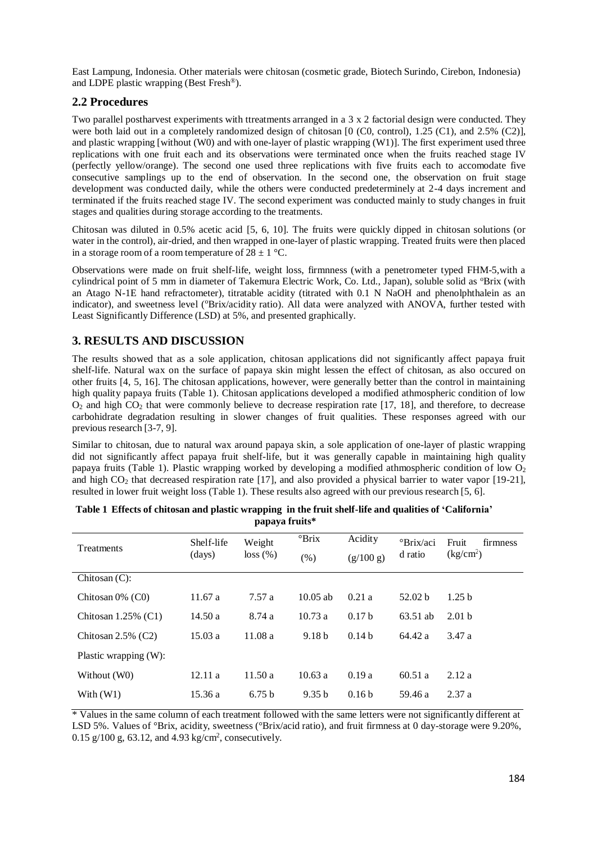East Lampung, Indonesia. Other materials were chitosan (cosmetic grade, Biotech Surindo, Cirebon, Indonesia) and LDPE plastic wrapping (Best Fresh ®).

#### **2.2 Procedures**

Two parallel postharvest experiments with ttreatments arranged in a 3 x 2 factorial design were conducted. They were both laid out in a completely randomized design of chitosan [0 (C0, control), 1.25 (C1), and 2.5% (C2)], and plastic wrapping [without (W0) and with one-layer of plastic wrapping (W1)]. The first experiment used three replications with one fruit each and its observations were terminated once when the fruits reached stage IV (perfectly yellow/orange). The second one used three replications with five fruits each to accomodate five consecutive samplings up to the end of observation. In the second one, the observation on fruit stage development was conducted daily, while the others were conducted predeterminely at 2-4 days increment and terminated if the fruits reached stage IV. The second experiment was conducted mainly to study changes in fruit stages and qualities during storage according to the treatments.

Chitosan was diluted in 0.5% acetic acid [5, 6, 10]. The fruits were quickly dipped in chitosan solutions (or water in the control), air-dried, and then wrapped in one-layer of plastic wrapping. Treated fruits were then placed in a storage room of a room temperature of  $28 \pm 1$  °C.

Observations were made on fruit shelf-life, weight loss, firmnness (with a penetrometer typed FHM-5,with a cylindrical point of 5 mm in diameter of Takemura Electric Work, Co. Ltd., Japan), soluble solid as <sup>o</sup>Brix (with an Atago N-1E hand refractometer), titratable acidity (titrated with 0.1 N NaOH and phenolphthalein as an indicator), and sweetness level ('Brix/acidity ratio). All data were analyzed with ANOVA, further tested with Least Significantly Difference (LSD) at 5%, and presented graphically.

## **3. RESULTS AND DISCUSSION**

The results showed that as a sole application, chitosan applications did not significantly affect papaya fruit shelf-life. Natural wax on the surface of papaya skin might lessen the effect of chitosan, as also occured on other fruits [4, 5, 16]. The chitosan applications, however, were generally better than the control in maintaining high quality papaya fruits (Table 1). Chitosan applications developed a modified athmospheric condition of low O<sup>2</sup> and high CO2 that were commonly believe to decrease respiration rate [17, 18], and therefore, to decrease carbohidrate degradation resulting in slower changes of fruit qualities. These responses agreed with our previous research [3-7, 9].

Similar to chitosan, due to natural wax around papaya skin, a sole application of one-layer of plastic wrapping did not significantly affect papaya fruit shelf-life, but it was generally capable in maintaining high quality papaya fruits (Table 1). Plastic wrapping worked by developing a modified athmospheric condition of low  $O_2$ and high  $CO<sub>2</sub>$  that decreased respiration rate [17], and also provided a physical barrier to water vapor [19-21], resulted in lower fruit weight loss (Table 1). These results also agreed with our previous research [5, 6].

| Treatments               | Shelf-life<br>(days) | Weight<br>loss (%) | $\mathrm{Prix}$   | Acidity           | <sup>o</sup> Brix/aci | Fruit<br>firmness                   |
|--------------------------|----------------------|--------------------|-------------------|-------------------|-----------------------|-------------------------------------|
|                          |                      |                    | (% )              | (g/100 g)         | d ratio               | $\frac{\text{kg/cm}^2}{\text{m}^2}$ |
| Chitosan $(C)$ :         |                      |                    |                   |                   |                       |                                     |
| Chitosan $0\%$ (C0)      | 11.67a               | 7.57a              | $10.05$ ab        | 0.21a             | 52.02 <sub>b</sub>    | 1.25 <sub>b</sub>                   |
| Chitosan $1.25\%$ (C1)   | 14.50a               | 8.74 a             | 10.73a            | 0.17 <sub>b</sub> | 63.51 ab              | 2.01 <sub>b</sub>                   |
| Chitosan $2.5\%$ (C2)    | 15.03a               | 11.08a             | 9.18 <sub>b</sub> | 0.14 <sub>b</sub> | 64.42 a               | 3.47 a                              |
| Plastic wrapping $(W)$ : |                      |                    |                   |                   |                       |                                     |
| Without (W0)             | 12.11a               | 11.50a             | 10.63a            | 0.19a             | 60.51a                | 2.12a                               |
| With $(W1)$              | 15.36 a              | 6.75 <sub>b</sub>  | 9.35 b            | 0.16 <sub>b</sub> | 59.46 a               | 2.37a                               |

|                | Table 1 Effects of chitosan and plastic wrapping in the fruit shelf-life and qualities of 'California' |  |  |  |  |  |  |  |  |
|----------------|--------------------------------------------------------------------------------------------------------|--|--|--|--|--|--|--|--|
| papaya fruits* |                                                                                                        |  |  |  |  |  |  |  |  |

\* Values in the same column of each treatment followed with the same letters were not significantly different at LSD 5%. Values of °Brix, acidity, sweetness (°Brix/acid ratio), and fruit firmness at 0 day-storage were 9.20%,  $0.15$  g/100 g, 63.12, and 4.93 kg/cm<sup>2</sup>, consecutively.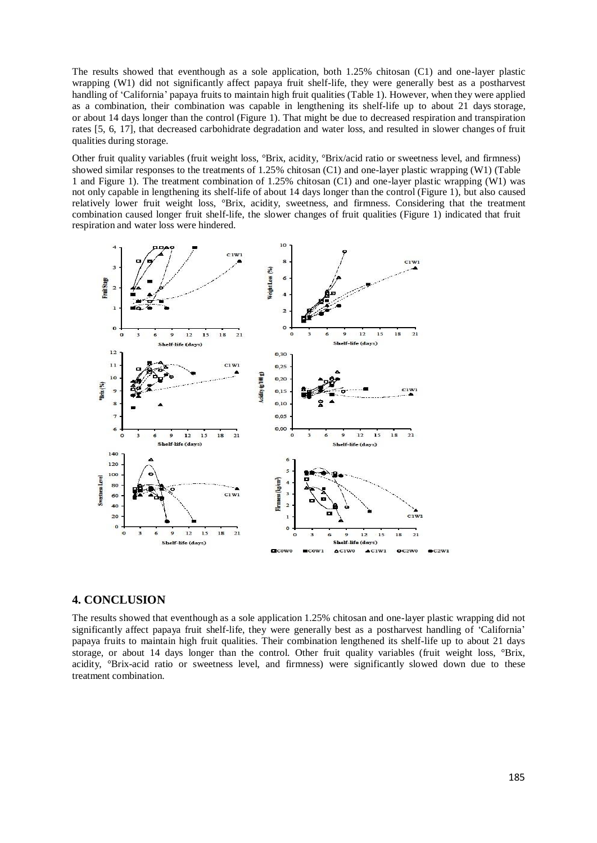The results showed that eventhough as a sole application, both 1.25% chitosan (C1) and one-layer plastic wrapping (W1) did not significantly affect papaya fruit shelf-life, they were generally best as a postharvest handling of 'California' papaya fruits to maintain high fruit qualities (Table 1). However, when they were applied as a combination, their combination was capable in lengthening its shelf-life up to about 21 days storage, or about 14 days longer than the control (Figure 1). That might be due to decreased respiration and transpiration rates [5, 6, 17], that decreased carbohidrate degradation and water loss, and resulted in slower changes of fruit qualities during storage.

Other fruit quality variables (fruit weight loss, °Brix, acidity, °Brix/acid ratio or sweetness level, and firmness) showed similar responses to the treatments of 1.25% chitosan (C1) and one-layer plastic wrapping (W1) (Table 1 and Figure 1). The treatment combination of 1.25% chitosan (C1) and one-layer plastic wrapping (W1) was not only capable in lengthening its shelf-life of about 14 days longer than the control (Figure 1), but also caused relatively lower fruit weight loss, °Brix, acidity, sweetness, and firmness. Considering that the treatment combination caused longer fruit shelf-life, the slower changes of fruit qualities (Figure 1) indicated that fruit respiration and water loss were hindered.



#### **4. CONCLUSION**

The results showed that eventhough as a sole application 1.25% chitosan and one-layer plastic wrapping did not significantly affect papaya fruit shelf-life, they were generally best as a postharvest handling of 'California' papaya fruits to maintain high fruit qualities. Their combination lengthened its shelf-life up to about 21 days storage, or about 14 days longer than the control. Other fruit quality variables (fruit weight loss, °Brix, acidity, °Brix-acid ratio or sweetness level, and firmness) were significantly slowed down due to these treatment combination.